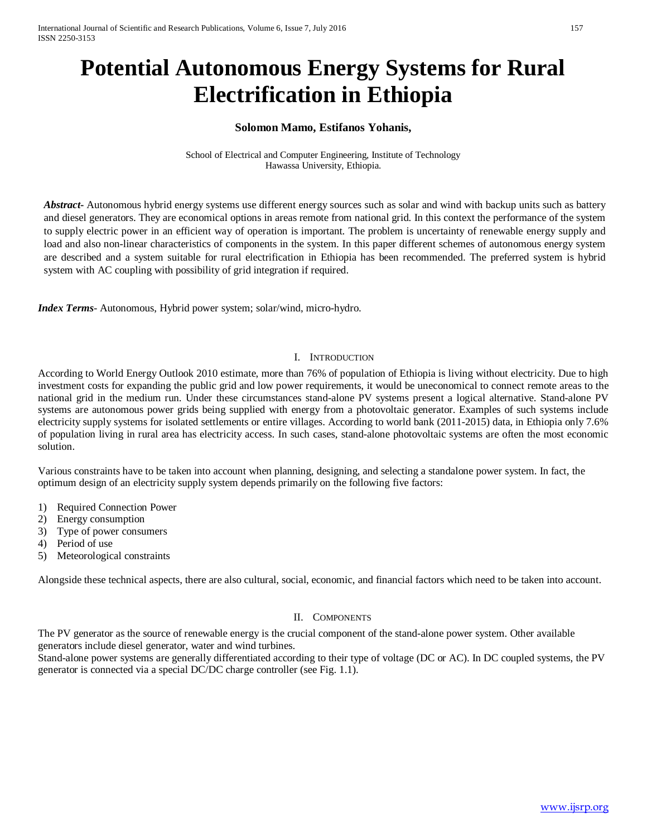# **Potential Autonomous Energy Systems for Rural Electrification in Ethiopia**

# **Solomon Mamo, Estifanos Yohanis,**

School of Electrical and Computer Engineering, Institute of Technology Hawassa University, Ethiopia.

*Abstract***-** Autonomous hybrid energy systems use different energy sources such as solar and wind with backup units such as battery and diesel generators. They are economical options in areas remote from national grid. In this context the performance of the system to supply electric power in an efficient way of operation is important. The problem is uncertainty of renewable energy supply and load and also non-linear characteristics of components in the system. In this paper different schemes of autonomous energy system are described and a system suitable for rural electrification in Ethiopia has been recommended. The preferred system is hybrid system with AC coupling with possibility of grid integration if required.

*Index Terms*- Autonomous, Hybrid power system; solar/wind, micro-hydro.

#### I. INTRODUCTION

According to World Energy Outlook 2010 estimate, more than 76% of population of Ethiopia is living without electricity. Due to high investment costs for expanding the public grid and low power requirements, it would be uneconomical to connect remote areas to the national grid in the medium run. Under these circumstances stand-alone PV systems present a logical alternative. Stand-alone PV systems are autonomous power grids being supplied with energy from a photovoltaic generator. Examples of such systems include electricity supply systems for isolated settlements or entire villages. According to world bank (2011-2015) data, in Ethiopia only 7.6% of population living in rural area has electricity access. In such cases, stand-alone photovoltaic systems are often the most economic solution.

Various constraints have to be taken into account when planning, designing, and selecting a standalone power system. In fact, the optimum design of an electricity supply system depends primarily on the following five factors:

- 1) Required Connection Power
- 2) Energy consumption
- 3) Type of power consumers
- 4) Period of use
- 5) Meteorological constraints

Alongside these technical aspects, there are also cultural, social, economic, and financial factors which need to be taken into account.

#### II. COMPONENTS

The PV generator as the source of renewable energy is the crucial component of the stand-alone power system. Other available generators include diesel generator, water and wind turbines.

Stand-alone power systems are generally differentiated according to their type of voltage (DC or AC). In DC coupled systems, the PV generator is connected via a special DC/DC charge controller (see Fig. 1.1).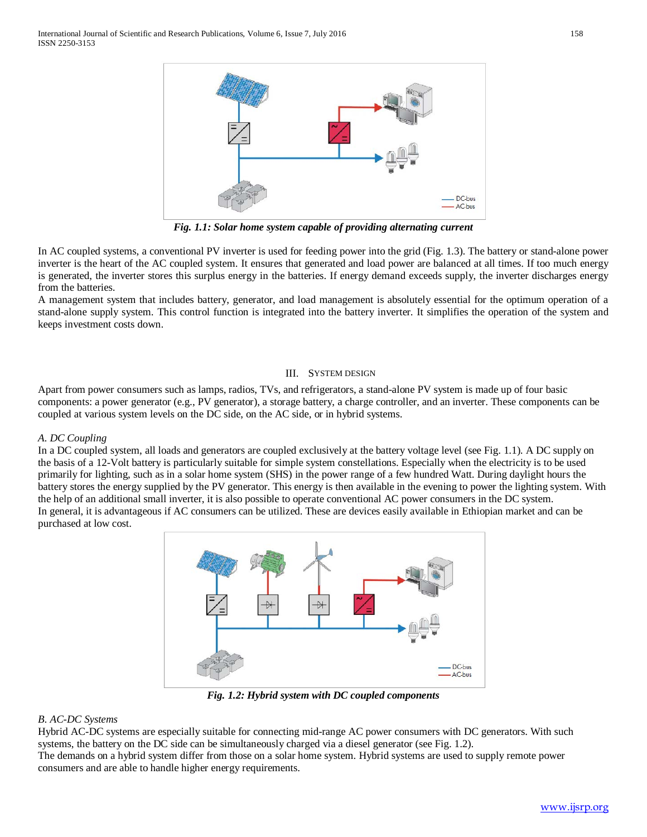

*Fig. 1.1: Solar home system capable of providing alternating current*

In AC coupled systems, a conventional PV inverter is used for feeding power into the grid (Fig. 1.3). The battery or stand-alone power inverter is the heart of the AC coupled system. It ensures that generated and load power are balanced at all times. If too much energy is generated, the inverter stores this surplus energy in the batteries. If energy demand exceeds supply, the inverter discharges energy from the batteries.

A management system that includes battery, generator, and load management is absolutely essential for the optimum operation of a stand-alone supply system. This control function is integrated into the battery inverter. It simplifies the operation of the system and keeps investment costs down.

## III. SYSTEM DESIGN

Apart from power consumers such as lamps, radios, TVs, and refrigerators, a stand-alone PV system is made up of four basic components: a power generator (e.g., PV generator), a storage battery, a charge controller, and an inverter. These components can be coupled at various system levels on the DC side, on the AC side, or in hybrid systems.

## *A. DC Coupling*

In a DC coupled system, all loads and generators are coupled exclusively at the battery voltage level (see Fig. 1.1). A DC supply on the basis of a 12-Volt battery is particularly suitable for simple system constellations. Especially when the electricity is to be used primarily for lighting, such as in a solar home system (SHS) in the power range of a few hundred Watt. During daylight hours the battery stores the energy supplied by the PV generator. This energy is then available in the evening to power the lighting system. With the help of an additional small inverter, it is also possible to operate conventional AC power consumers in the DC system. In general, it is advantageous if AC consumers can be utilized. These are devices easily available in Ethiopian market and can be purchased at low cost.



*Fig. 1.2: Hybrid system with DC coupled components*

#### *B. AC-DC Systems*

Hybrid AC-DC systems are especially suitable for connecting mid-range AC power consumers with DC generators. With such systems, the battery on the DC side can be simultaneously charged via a diesel generator (see Fig. 1.2).

The demands on a hybrid system differ from those on a solar home system. Hybrid systems are used to supply remote power consumers and are able to handle higher energy requirements.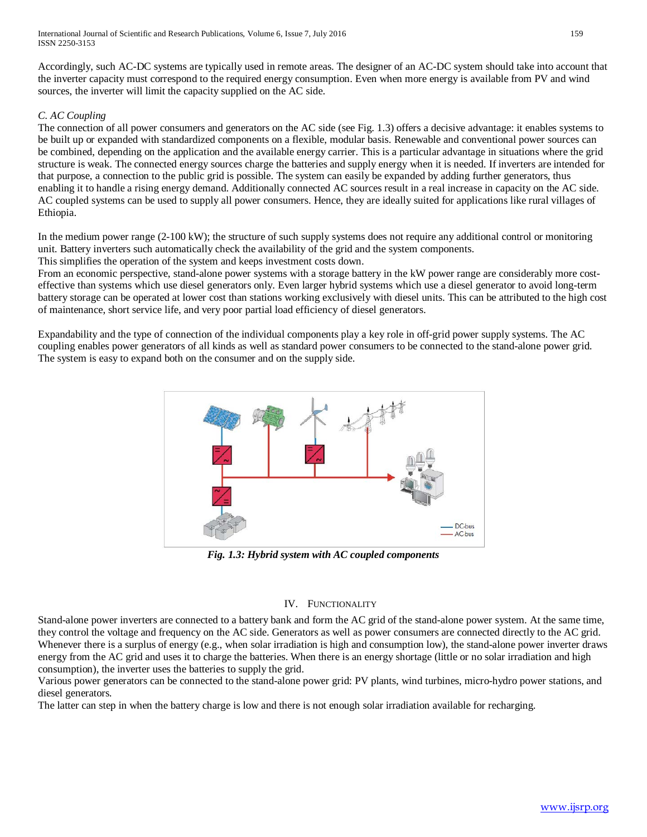Accordingly, such AC-DC systems are typically used in remote areas. The designer of an AC-DC system should take into account that the inverter capacity must correspond to the required energy consumption. Even when more energy is available from PV and wind sources, the inverter will limit the capacity supplied on the AC side.

# *C. AC Coupling*

The connection of all power consumers and generators on the AC side (see Fig. 1.3) offers a decisive advantage: it enables systems to be built up or expanded with standardized components on a flexible, modular basis. Renewable and conventional power sources can be combined, depending on the application and the available energy carrier. This is a particular advantage in situations where the grid structure is weak. The connected energy sources charge the batteries and supply energy when it is needed. If inverters are intended for that purpose, a connection to the public grid is possible. The system can easily be expanded by adding further generators, thus enabling it to handle a rising energy demand. Additionally connected AC sources result in a real increase in capacity on the AC side. AC coupled systems can be used to supply all power consumers. Hence, they are ideally suited for applications like rural villages of Ethiopia.

In the medium power range (2-100 kW); the structure of such supply systems does not require any additional control or monitoring unit. Battery inverters such automatically check the availability of the grid and the system components.

This simplifies the operation of the system and keeps investment costs down.

From an economic perspective, stand-alone power systems with a storage battery in the kW power range are considerably more costeffective than systems which use diesel generators only. Even larger hybrid systems which use a diesel generator to avoid long-term battery storage can be operated at lower cost than stations working exclusively with diesel units. This can be attributed to the high cost of maintenance, short service life, and very poor partial load efficiency of diesel generators.

Expandability and the type of connection of the individual components play a key role in off-grid power supply systems. The AC coupling enables power generators of all kinds as well as standard power consumers to be connected to the stand-alone power grid. The system is easy to expand both on the consumer and on the supply side.



*Fig. 1.3: Hybrid system with AC coupled components*

## IV. FUNCTIONALITY

Stand-alone power inverters are connected to a battery bank and form the AC grid of the stand-alone power system. At the same time, they control the voltage and frequency on the AC side. Generators as well as power consumers are connected directly to the AC grid. Whenever there is a surplus of energy (e.g., when solar irradiation is high and consumption low), the stand-alone power inverter draws energy from the AC grid and uses it to charge the batteries. When there is an energy shortage (little or no solar irradiation and high consumption), the inverter uses the batteries to supply the grid.

Various power generators can be connected to the stand-alone power grid: PV plants, wind turbines, micro-hydro power stations, and diesel generators.

The latter can step in when the battery charge is low and there is not enough solar irradiation available for recharging.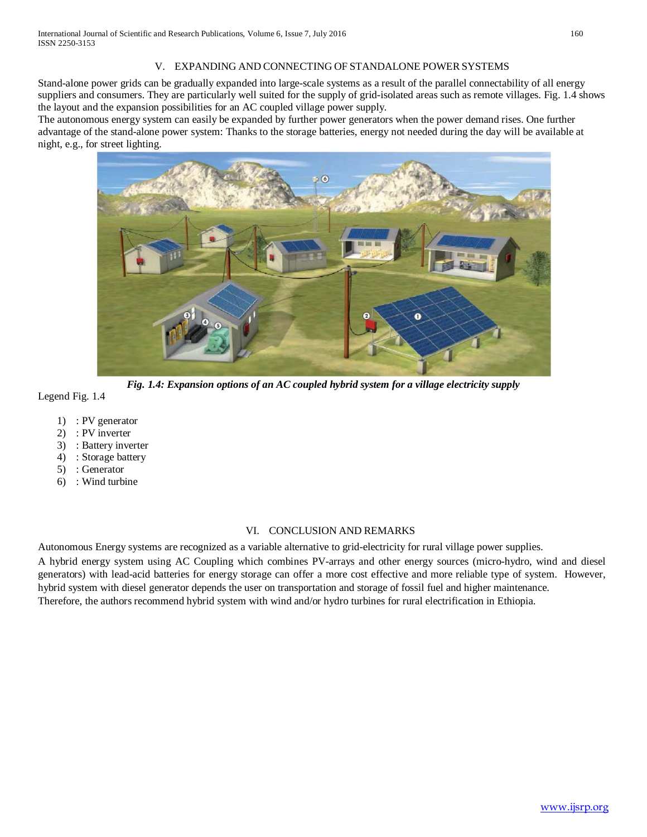## V. EXPANDING AND CONNECTING OF STANDALONE POWERSYSTEMS

Stand-alone power grids can be gradually expanded into large-scale systems as a result of the parallel connectability of all energy suppliers and consumers. They are particularly well suited for the supply of grid-isolated areas such as remote villages. Fig. 1.4 shows the layout and the expansion possibilities for an AC coupled village power supply.

The autonomous energy system can easily be expanded by further power generators when the power demand rises. One further advantage of the stand-alone power system: Thanks to the storage batteries, energy not needed during the day will be available at night, e.g., for street lighting.



*Fig. 1.4: Expansion options of an AC coupled hybrid system for a village electricity supply*

Legend Fig. 1.4

- 1) : PV generator
- 2) : PV inverter
- 3) : Battery inverter
- 4) : Storage battery
- 5) : Generator
- 6) : Wind turbine

## VI. CONCLUSION AND REMARKS

Autonomous Energy systems are recognized as a variable alternative to grid-electricity for rural village power supplies. A hybrid energy system using AC Coupling which combines PV-arrays and other energy sources (micro-hydro, wind and diesel generators) with lead-acid batteries for energy storage can offer a more cost effective and more reliable type of system. However, hybrid system with diesel generator depends the user on transportation and storage of fossil fuel and higher maintenance. Therefore, the authors recommend hybrid system with wind and/or hydro turbines for rural electrification in Ethiopia.